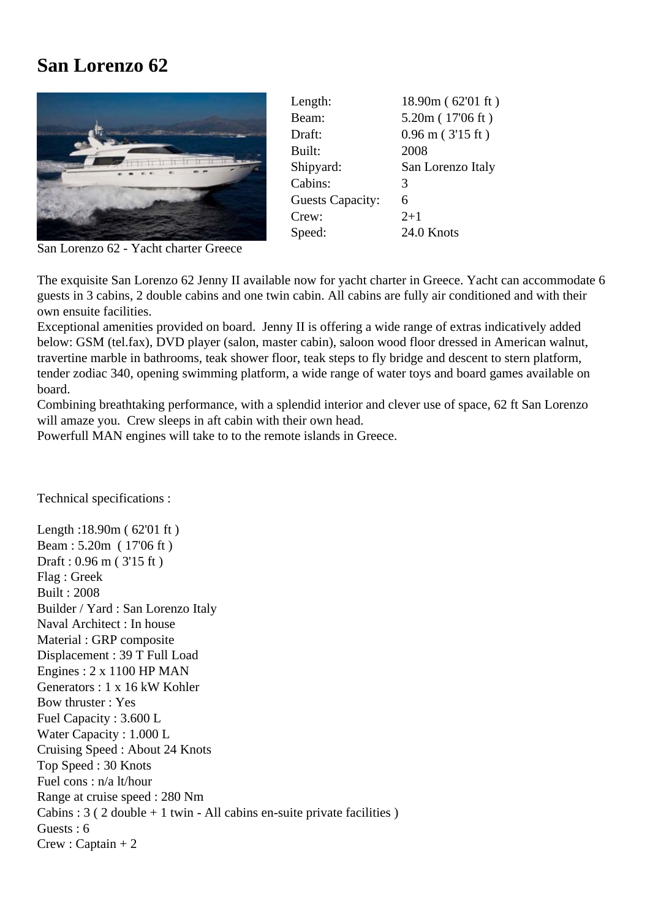## **San Lorenzo 62**



| Length:                 | 18.90m (62'01 ft)     |
|-------------------------|-----------------------|
| Beam:                   | 5.20m (17'06 ft)      |
| Draft:                  | $0.96$ m ( $3'15$ ft) |
| Built:                  | 2008                  |
| Shipyard:               | San Lorenzo Italy     |
| Cabins:                 | 3                     |
| <b>Guests Capacity:</b> | 6                     |
| Crew:                   | $2+1$                 |
| Speed:                  | 24.0 Knots            |
|                         |                       |

San Lorenzo 62 - Yacht charter Greece

The exquisite San Lorenzo 62 Jenny II available now for yacht charter in Greece. Yacht can accommodate 6 guests in 3 cabins, 2 double cabins and one twin cabin. All cabins are fully air conditioned and with their own ensuite facilities.

Exceptional amenities provided on board. Jenny II is offering a wide range of extras indicatively added below: GSM (tel.fax), DVD player (salon, master cabin), saloon wood floor dressed in American walnut, travertine marble in bathrooms, teak shower floor, teak steps to fly bridge and descent to stern platform, tender zodiac 340, opening swimming platform, a wide range of water toys and board games available on board.

Combining breathtaking performance, with a splendid interior and clever use of space, 62 ft San Lorenzo will amaze you. Crew sleeps in aft cabin with their own head.

Powerfull MAN engines will take to to the remote islands in Greece.

Technical specifications :

Length :18.90m ( 62'01 ft ) Beam : 5.20m ( 17'06 ft ) Draft : 0.96 m ( 3'15 ft ) Flag : Greek Built : 2008 Builder / Yard : San Lorenzo Italy Naval Architect : In house Material : GRP composite Displacement : 39 T Full Load Engines : 2 x 1100 HP MAN Generators : 1 x 16 kW Kohler Bow thruster : Yes Fuel Capacity : 3.600 L Water Capacity : 1.000 L Cruising Speed : About 24 Knots Top Speed : 30 Knots Fuel cons : n/a lt/hour Range at cruise speed : 280 Nm Cabins :  $3$  (  $2$  double  $+1$  twin - All cabins en-suite private facilities ) Guests : 6  $Crew : Captain + 2$